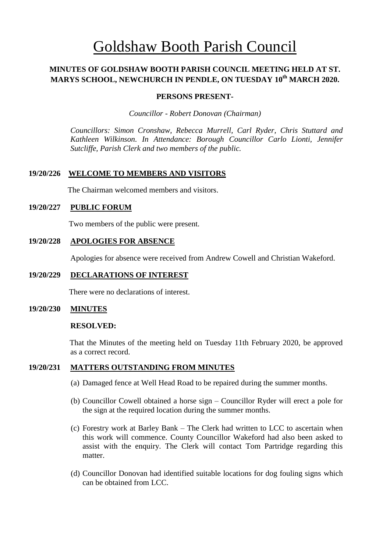# Goldshaw Booth Parish Council

# **MINUTES OF GOLDSHAW BOOTH PARISH COUNCIL MEETING HELD AT ST. MARYS SCHOOL, NEWCHURCH IN PENDLE, ON TUESDAY 10 th MARCH 2020.**

#### **PERSONS PRESENT-**

*Councillor* - *Robert Donovan (Chairman)*

*Councillors: Simon Cronshaw, Rebecca Murrell, Carl Ryder, Chris Stuttard and Kathleen Wilkinson. In Attendance: Borough Councillor Carlo Lionti, Jennifer Sutcliffe, Parish Clerk and two members of the public.*

# **19/20/226 WELCOME TO MEMBERS AND VISITORS**

The Chairman welcomed members and visitors.

# **19/20/227 PUBLIC FORUM**

Two members of the public were present.

# **19/20/228 APOLOGIES FOR ABSENCE**

Apologies for absence were received from Andrew Cowell and Christian Wakeford.

#### **19/20/229 DECLARATIONS OF INTEREST**

There were no declarations of interest.

# **19/20/230 MINUTES**

#### **RESOLVED:**

 That the Minutes of the meeting held on Tuesday 11th February 2020, be approved as a correct record.

# **19/20/231 MATTERS OUTSTANDING FROM MINUTES**

- (a) Damaged fence at Well Head Road to be repaired during the summer months.
- (b) Councillor Cowell obtained a horse sign Councillor Ryder will erect a pole for the sign at the required location during the summer months.
- (c) Forestry work at Barley Bank The Clerk had written to LCC to ascertain when this work will commence. County Councillor Wakeford had also been asked to assist with the enquiry. The Clerk will contact Tom Partridge regarding this matter.
- (d) Councillor Donovan had identified suitable locations for dog fouling signs which can be obtained from LCC.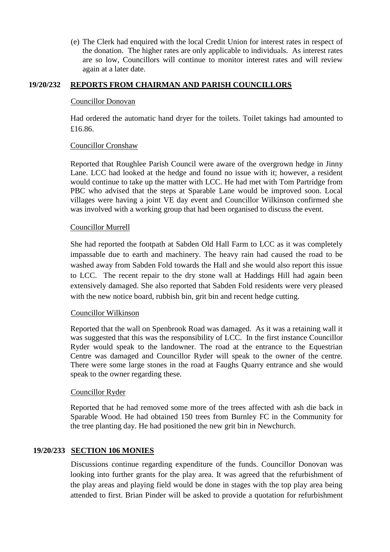(e) The Clerk had enquired with the local Credit Union for interest rates in respect of the donation. The higher rates are only applicable to individuals. As interest rates are so low, Councillors will continue to monitor interest rates and will review again at a later date.

# **19/20/232 REPORTS FROM CHAIRMAN AND PARISH COUNCILLORS**

#### Councillor Donovan

Had ordered the automatic hand dryer for the toilets. Toilet takings had amounted to £16.86.

# Councillor Cronshaw

Reported that Roughlee Parish Council were aware of the overgrown hedge in Jinny Lane. LCC had looked at the hedge and found no issue with it; however, a resident would continue to take up the matter with LCC. He had met with Tom Partridge from PBC who advised that the steps at Sparable Lane would be improved soon. Local villages were having a joint VE day event and Councillor Wilkinson confirmed she was involved with a working group that had been organised to discuss the event.

# Councillor Murrell

She had reported the footpath at Sabden Old Hall Farm to LCC as it was completely impassable due to earth and machinery. The heavy rain had caused the road to be washed away from Sabden Fold towards the Hall and she would also report this issue to LCC. The recent repair to the dry stone wall at Haddings Hill had again been extensively damaged. She also reported that Sabden Fold residents were very pleased with the new notice board, rubbish bin, grit bin and recent hedge cutting.

# Councillor Wilkinson

Reported that the wall on Spenbrook Road was damaged. As it was a retaining wall it was suggested that this was the responsibility of LCC. In the first instance Councillor Ryder would speak to the landowner. The road at the entrance to the Equestrian Centre was damaged and Councillor Ryder will speak to the owner of the centre. There were some large stones in the road at Faughs Quarry entrance and she would speak to the owner regarding these.

# Councillor Ryder

Reported that he had removed some more of the trees affected with ash die back in Sparable Wood. He had obtained 150 trees from Burnley FC in the Community for the tree planting day. He had positioned the new grit bin in Newchurch.

# **19/20/233 SECTION 106 MONIES**

Discussions continue regarding expenditure of the funds. Councillor Donovan was looking into further grants for the play area. It was agreed that the refurbishment of the play areas and playing field would be done in stages with the top play area being attended to first. Brian Pinder will be asked to provide a quotation for refurbishment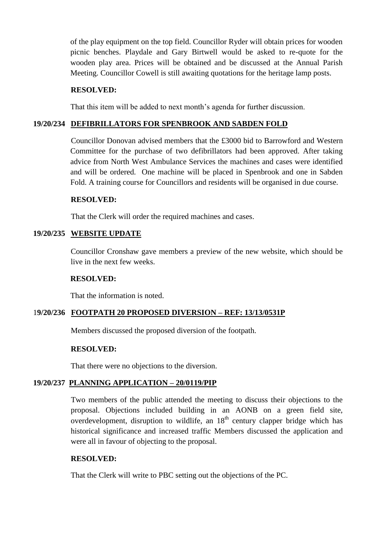of the play equipment on the top field. Councillor Ryder will obtain prices for wooden picnic benches. Playdale and Gary Birtwell would be asked to re-quote for the wooden play area. Prices will be obtained and be discussed at the Annual Parish Meeting. Councillor Cowell is still awaiting quotations for the heritage lamp posts.

# **RESOLVED:**

That this item will be added to next month's agenda for further discussion.

# **19/20/234 DEFIBRILLATORS FOR SPENBROOK AND SABDEN FOLD**

Councillor Donovan advised members that the £3000 bid to Barrowford and Western Committee for the purchase of two defibrillators had been approved. After taking advice from North West Ambulance Services the machines and cases were identified and will be ordered. One machine will be placed in Spenbrook and one in Sabden Fold. A training course for Councillors and residents will be organised in due course.

# **RESOLVED:**

That the Clerk will order the required machines and cases.

# **19/20/235 WEBSITE UPDATE**

Councillor Cronshaw gave members a preview of the new website, which should be live in the next few weeks.

# **RESOLVED:**

That the information is noted.

# 1**9/20/236 FOOTPATH 20 PROPOSED DIVERSION – REF: 13/13/0531P**

Members discussed the proposed diversion of the footpath.

# **RESOLVED:**

That there were no objections to the diversion.

# **19/20/237 PLANNING APPLICATION – 20/0119/PIP**

Two members of the public attended the meeting to discuss their objections to the proposal. Objections included building in an AONB on a green field site, overdevelopment, disruption to wildlife, an  $18<sup>th</sup>$  century clapper bridge which has historical significance and increased traffic Members discussed the application and were all in favour of objecting to the proposal.

# **RESOLVED:**

That the Clerk will write to PBC setting out the objections of the PC.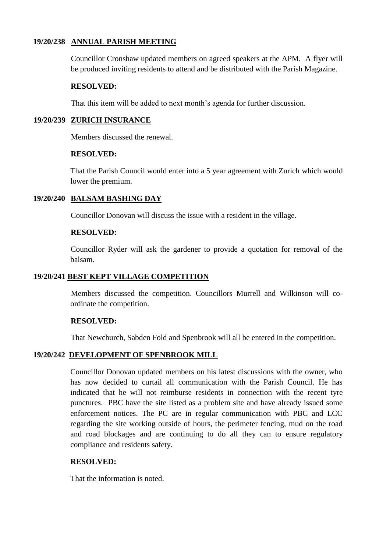# **19/20/238 ANNUAL PARISH MEETING**

Councillor Cronshaw updated members on agreed speakers at the APM. A flyer will be produced inviting residents to attend and be distributed with the Parish Magazine.

# **RESOLVED:**

That this item will be added to next month's agenda for further discussion.

# **19/20/239 ZURICH INSURANCE**

Members discussed the renewal.

# **RESOLVED:**

That the Parish Council would enter into a 5 year agreement with Zurich which would lower the premium.

# **19/20/240 BALSAM BASHING DAY**

Councillor Donovan will discuss the issue with a resident in the village.

#### **RESOLVED:**

Councillor Ryder will ask the gardener to provide a quotation for removal of the balsam.

# **19/20/241 BEST KEPT VILLAGE COMPETITION**

Members discussed the competition. Councillors Murrell and Wilkinson will coordinate the competition.

# **RESOLVED:**

That Newchurch, Sabden Fold and Spenbrook will all be entered in the competition.

# **19/20/242 DEVELOPMENT OF SPENBROOK MILL**

Councillor Donovan updated members on his latest discussions with the owner, who has now decided to curtail all communication with the Parish Council. He has indicated that he will not reimburse residents in connection with the recent tyre punctures. PBC have the site listed as a problem site and have already issued some enforcement notices. The PC are in regular communication with PBC and LCC regarding the site working outside of hours, the perimeter fencing, mud on the road and road blockages and are continuing to do all they can to ensure regulatory compliance and residents safety.

# **RESOLVED:**

That the information is noted.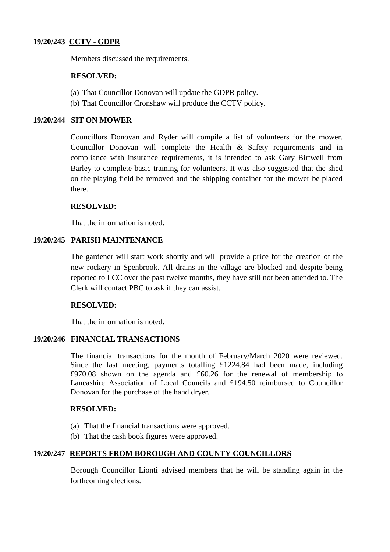# **19/20/243 CCTV - GDPR**

Members discussed the requirements.

#### **RESOLVED:**

- (a) That Councillor Donovan will update the GDPR policy.
- (b) That Councillor Cronshaw will produce the CCTV policy.

# **19/20/244 SIT ON MOWER**

Councillors Donovan and Ryder will compile a list of volunteers for the mower. Councillor Donovan will complete the Health & Safety requirements and in compliance with insurance requirements, it is intended to ask Gary Birtwell from Barley to complete basic training for volunteers. It was also suggested that the shed on the playing field be removed and the shipping container for the mower be placed there.

#### **RESOLVED:**

That the information is noted.

# **19/20/245 PARISH MAINTENANCE**

The gardener will start work shortly and will provide a price for the creation of the new rockery in Spenbrook. All drains in the village are blocked and despite being reported to LCC over the past twelve months, they have still not been attended to. The Clerk will contact PBC to ask if they can assist.

#### **RESOLVED:**

That the information is noted.

#### **19/20/246 FINANCIAL TRANSACTIONS**

The financial transactions for the month of February/March 2020 were reviewed. Since the last meeting, payments totalling £1224.84 had been made, including £970.08 shown on the agenda and £60.26 for the renewal of membership to Lancashire Association of Local Councils and £194.50 reimbursed to Councillor Donovan for the purchase of the hand dryer.

#### **RESOLVED:**

- (a) That the financial transactions were approved.
- (b) That the cash book figures were approved.

# **19/20/247 REPORTS FROM BOROUGH AND COUNTY COUNCILLORS**

Borough Councillor Lionti advised members that he will be standing again in the forthcoming elections.